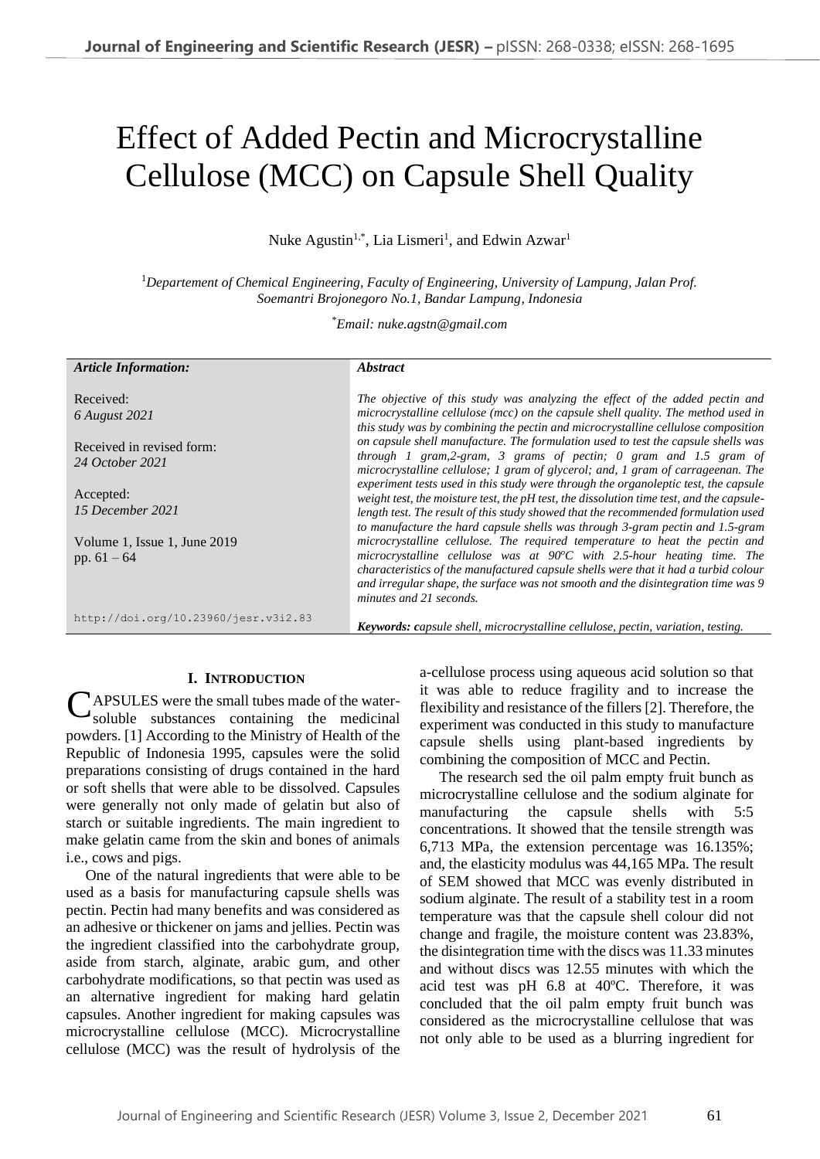# Effect of Added Pectin and Microcrystalline Cellulose (MCC) on Capsule Shell Quality

Nuke Agustin<sup>1,\*</sup>, Lia Lismeri<sup>1</sup>, and Edwin Azwar<sup>1</sup>

<sup>1</sup>*Departement of Chemical Engineering, Faculty of Engineering, University of Lampung, Jalan Prof. Soemantri Brojonegoro No.1, Bandar Lampung, Indonesia*

\**Email: nuke.agstn@gmail.com*

| <b>Article Information:</b>          | <i><b>Abstract</b></i>                                                                                                                                                          |
|--------------------------------------|---------------------------------------------------------------------------------------------------------------------------------------------------------------------------------|
|                                      |                                                                                                                                                                                 |
| Received:                            | The objective of this study was analyzing the effect of the added pectin and                                                                                                    |
| 6 August 2021                        | microcrystalline cellulose (mcc) on the capsule shell quality. The method used in                                                                                               |
|                                      | this study was by combining the pectin and microcrystalline cellulose composition                                                                                               |
| Received in revised form:            | on capsule shell manufacture. The formulation used to test the capsule shells was                                                                                               |
| 24 October 2021                      | through 1 gram, $2$ -gram, 3 grams of pectin; 0 gram and 1.5 gram of                                                                                                            |
|                                      | microcrystalline cellulose; 1 gram of glycerol; and, 1 gram of carrageenan. The                                                                                                 |
| Accepted:                            | experiment tests used in this study were through the organoleptic test, the capsule<br>weight test, the moisture test, the pH test, the dissolution time test, and the capsule- |
| 15 December 2021                     | length test. The result of this study showed that the recommended formulation used                                                                                              |
|                                      | to manufacture the hard capsule shells was through 3-gram pectin and 1.5-gram                                                                                                   |
| Volume 1, Issue 1, June 2019         | microcrystalline cellulose. The required temperature to heat the pectin and                                                                                                     |
| pp. $61 - 64$                        | microcrystalline cellulose was at $90^{\circ}$ C with 2.5-hour heating time. The                                                                                                |
|                                      | characteristics of the manufactured capsule shells were that it had a turbid colour                                                                                             |
|                                      | and irregular shape, the surface was not smooth and the disintegration time was 9                                                                                               |
|                                      | minutes and 21 seconds.                                                                                                                                                         |
| http://doi.org/10.23960/jesr.v3i2.83 |                                                                                                                                                                                 |
|                                      | <b>Keywords:</b> capsule shell, microcrystalline cellulose, pectin, variation, testing.                                                                                         |

#### **I. INTRODUCTION**

APSULES were the small tubes made of the water-**CAPSULES** were the small tubes made of the water-<br>soluble substances containing the medicinal powders. [1] According to the Ministry of Health of the Republic of Indonesia 1995, capsules were the solid preparations consisting of drugs contained in the hard or soft shells that were able to be dissolved. Capsules were generally not only made of gelatin but also of starch or suitable ingredients. The main ingredient to make gelatin came from the skin and bones of animals i.e., cows and pigs.

One of the natural ingredients that were able to be used as a basis for manufacturing capsule shells was pectin. Pectin had many benefits and was considered as an adhesive or thickener on jams and jellies. Pectin was the ingredient classified into the carbohydrate group, aside from starch, alginate, arabic gum, and other carbohydrate modifications, so that pectin was used as an alternative ingredient for making hard gelatin capsules. Another ingredient for making capsules was microcrystalline cellulose (MCC). Microcrystalline cellulose (MCC) was the result of hydrolysis of the a-cellulose process using aqueous acid solution so that it was able to reduce fragility and to increase the flexibility and resistance of the fillers [2]. Therefore, the experiment was conducted in this study to manufacture capsule shells using plant-based ingredients by combining the composition of MCC and Pectin.

The research sed the oil palm empty fruit bunch as microcrystalline cellulose and the sodium alginate for manufacturing the capsule shells with 5:5 concentrations. It showed that the tensile strength was 6,713 MPa, the extension percentage was 16.135%; and, the elasticity modulus was 44,165 MPa. The result of SEM showed that MCC was evenly distributed in sodium alginate. The result of a stability test in a room temperature was that the capsule shell colour did not change and fragile, the moisture content was 23.83%, the disintegration time with the discs was 11.33 minutes and without discs was 12.55 minutes with which the acid test was pH 6.8 at 40ºC. Therefore, it was concluded that the oil palm empty fruit bunch was considered as the microcrystalline cellulose that was not only able to be used as a blurring ingredient for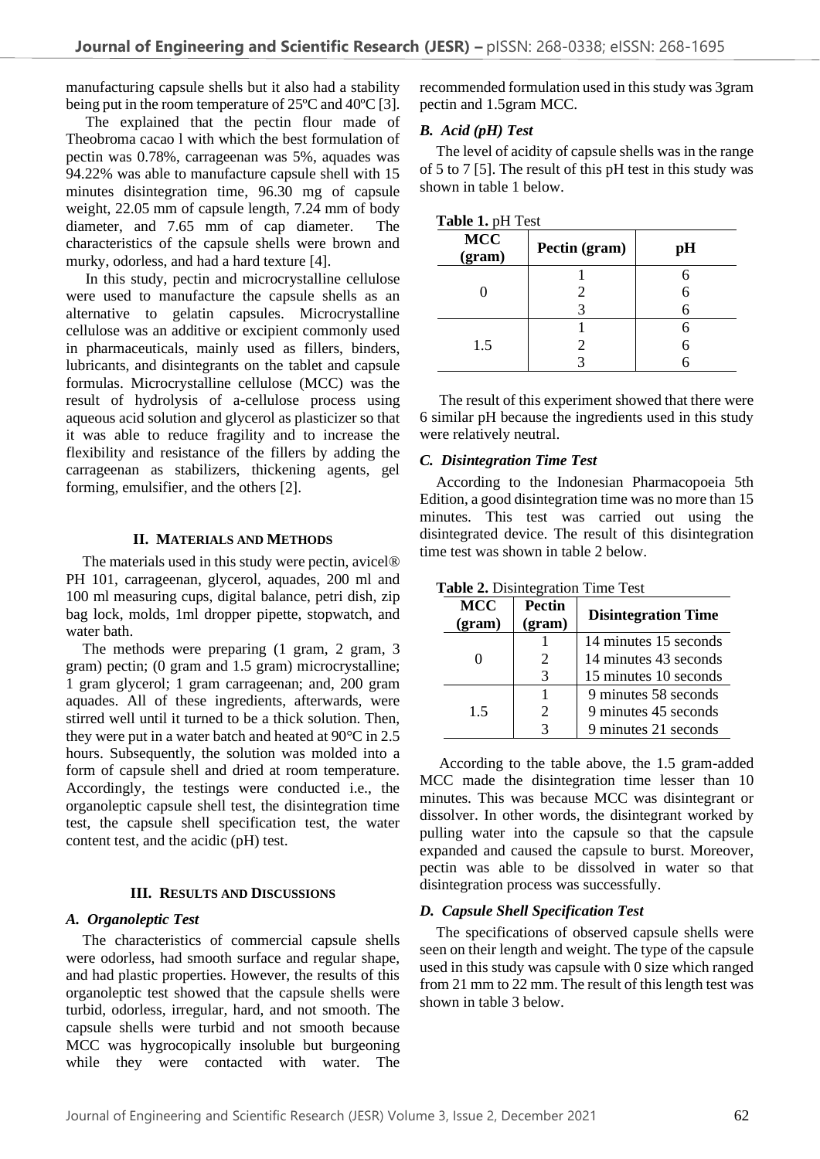manufacturing capsule shells but it also had a stability being put in the room temperature of 25ºC and 40ºC [3].

The explained that the pectin flour made of Theobroma cacao l with which the best formulation of pectin was 0.78%, carrageenan was 5%, aquades was 94.22% was able to manufacture capsule shell with 15 minutes disintegration time, 96.30 mg of capsule weight, 22.05 mm of capsule length, 7.24 mm of body diameter, and 7.65 mm of cap diameter. The characteristics of the capsule shells were brown and murky, odorless, and had a hard texture [4].

In this study, pectin and microcrystalline cellulose were used to manufacture the capsule shells as an alternative to gelatin capsules. Microcrystalline cellulose was an additive or excipient commonly used in pharmaceuticals, mainly used as fillers, binders, lubricants, and disintegrants on the tablet and capsule formulas. Microcrystalline cellulose (MCC) was the result of hydrolysis of a-cellulose process using aqueous acid solution and glycerol as plasticizer so that it was able to reduce fragility and to increase the flexibility and resistance of the fillers by adding the carrageenan as stabilizers, thickening agents, gel forming, emulsifier, and the others [2].

# **II. MATERIALS AND METHODS**

The materials used in this study were pectin, avicel® PH 101, carrageenan, glycerol, aquades, 200 ml and 100 ml measuring cups, digital balance, petri dish, zip bag lock, molds, 1ml dropper pipette, stopwatch, and water bath.

The methods were preparing (1 gram, 2 gram, 3 gram) pectin; (0 gram and 1.5 gram) microcrystalline; 1 gram glycerol; 1 gram carrageenan; and, 200 gram aquades. All of these ingredients, afterwards, were stirred well until it turned to be a thick solution. Then, they were put in a water batch and heated at 90°C in 2.5 hours. Subsequently, the solution was molded into a form of capsule shell and dried at room temperature. Accordingly, the testings were conducted i.e., the organoleptic capsule shell test, the disintegration time test, the capsule shell specification test, the water content test, and the acidic (pH) test.

#### **III. RESULTS AND DISCUSSIONS**

# *A. Organoleptic Test*

The characteristics of commercial capsule shells were odorless, had smooth surface and regular shape, and had plastic properties. However, the results of this organoleptic test showed that the capsule shells were turbid, odorless, irregular, hard, and not smooth. The capsule shells were turbid and not smooth because MCC was hygrocopically insoluble but burgeoning while they were contacted with water. The

recommended formulation used in this study was 3gram pectin and 1.5gram MCC.

# *B. Acid (pH) Test*

The level of acidity of capsule shells was in the range of 5 to 7 [5]. The result of this pH test in this study was shown in table 1 below.

| Table 1. pH Test |  |
|------------------|--|
|------------------|--|

| <b>MCC</b><br>(gram) | Pectin (gram) | pН |
|----------------------|---------------|----|
|                      |               |    |
|                      |               |    |
|                      |               |    |
|                      |               |    |
| 1.5                  |               |    |
|                      |               |    |

The result of this experiment showed that there were 6 similar pH because the ingredients used in this study were relatively neutral.

### *C. Disintegration Time Test*

According to the Indonesian Pharmacopoeia 5th Edition, a good disintegration time was no more than 15 minutes. This test was carried out using the disintegrated device. The result of this disintegration time test was shown in table 2 below.

| <b>MCC</b><br>(gram) | <b>Pectin</b><br>(gram) | <b>Disintegration Time</b> |
|----------------------|-------------------------|----------------------------|
|                      |                         | 14 minutes 15 seconds      |
|                      |                         | 14 minutes 43 seconds      |
|                      | 3                       | 15 minutes 10 seconds      |
|                      |                         | 9 minutes 58 seconds       |
| 15                   | 2                       | 9 minutes 45 seconds       |
|                      |                         | 9 minutes 21 seconds       |

**Table 2.** Disintegration Time Test

According to the table above, the 1.5 gram-added MCC made the disintegration time lesser than 10 minutes. This was because MCC was disintegrant or dissolver. In other words, the disintegrant worked by pulling water into the capsule so that the capsule expanded and caused the capsule to burst. Moreover, pectin was able to be dissolved in water so that disintegration process was successfully.

# *D. Capsule Shell Specification Test*

The specifications of observed capsule shells were seen on their length and weight. The type of the capsule used in this study was capsule with 0 size which ranged from 21 mm to 22 mm. The result of this length test was shown in table 3 below.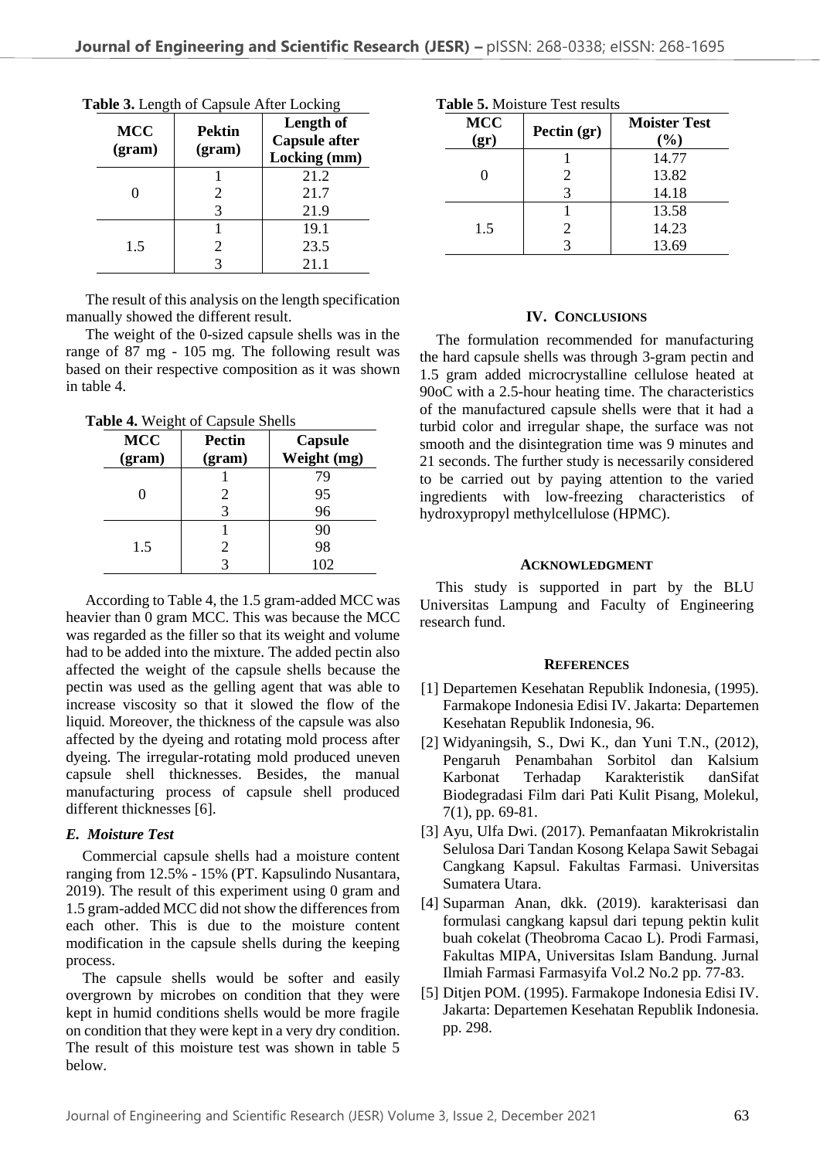| <b>MCC</b><br>(gram) | <b>Pektin</b><br>(gram) | Length of<br><b>Capsule after</b><br>Locking (mm) |
|----------------------|-------------------------|---------------------------------------------------|
|                      |                         | 21.2                                              |
|                      | 2                       | 21.7                                              |
|                      | 3                       | 21.9                                              |
| 1.5                  |                         | 19.1                                              |
|                      |                         | 23.5                                              |
|                      |                         | 21.1                                              |

The result of this analysis on the length specification manually showed the different result.

The weight of the 0-sized capsule shells was in the range of 87 mg - 105 mg. The following result was based on their respective composition as it was shown in table 4.

**Table 4.** Weight of Capsule Shells

| <b>MCC</b><br>(gram) | Pectin<br>(gram) | <b>Capsule</b><br>Weight (mg) |
|----------------------|------------------|-------------------------------|
|                      |                  | 79                            |
|                      | 2                | 95                            |
|                      |                  | 96                            |
|                      |                  | 90                            |
| 1.5                  | 2                | 98                            |
|                      |                  | 102                           |

According to Table 4, the 1.5 gram-added MCC was heavier than 0 gram MCC. This was because the MCC was regarded as the filler so that its weight and volume had to be added into the mixture. The added pectin also affected the weight of the capsule shells because the pectin was used as the gelling agent that was able to increase viscosity so that it slowed the flow of the liquid. Moreover, the thickness of the capsule was also affected by the dyeing and rotating mold process after dyeing. The irregular-rotating mold produced uneven capsule shell thicknesses. Besides, the manual manufacturing process of capsule shell produced different thicknesses [6].

# *E. Moisture Test*

Commercial capsule shells had a moisture content ranging from 12.5% - 15% (PT. Kapsulindo Nusantara, 2019). The result of this experiment using 0 gram and 1.5 gram-added MCC did not show the differences from each other. This is due to the moisture content modification in the capsule shells during the keeping process.

The capsule shells would be softer and easily overgrown by microbes on condition that they were kept in humid conditions shells would be more fragile on condition that they were kept in a very dry condition. The result of this moisture test was shown in table 5 below.

| <b>MCC</b><br>(qr) | Pectin (gr) | <b>Moister Test</b><br>(%) |
|--------------------|-------------|----------------------------|
|                    |             | 14.77                      |
|                    |             | 13.82                      |
|                    | 3           | 14.18                      |
| 1.5                |             | 13.58                      |
|                    | 2           | 14.23                      |
|                    |             | 13.69                      |

# **IV. CONCLUSIONS**

The formulation recommended for manufacturing the hard capsule shells was through 3-gram pectin and 1.5 gram added microcrystalline cellulose heated at 90oC with a 2.5-hour heating time. The characteristics of the manufactured capsule shells were that it had a turbid color and irregular shape, the surface was not smooth and the disintegration time was 9 minutes and 21 seconds. The further study is necessarily considered to be carried out by paying attention to the varied ingredients with low-freezing characteristics of hydroxypropyl methylcellulose (HPMC).

# **ACKNOWLEDGMENT**

This study is supported in part by the BLU Universitas Lampung and Faculty of Engineering research fund.

# **REFERENCES**

- [1] Departemen Kesehatan Republik Indonesia, (1995). Farmakope Indonesia Edisi IV. Jakarta: Departemen Kesehatan Republik Indonesia, 96.
- [2] Widyaningsih, S., Dwi K., dan Yuni T.N., (2012), Pengaruh Penambahan Sorbitol dan Kalsium Karbonat Terhadap Karakteristik danSifat Biodegradasi Film dari Pati Kulit Pisang, Molekul, 7(1), pp. 69-81.
- [3] Ayu, Ulfa Dwi. (2017). Pemanfaatan Mikrokristalin Selulosa Dari Tandan Kosong Kelapa Sawit Sebagai Cangkang Kapsul. Fakultas Farmasi. Universitas Sumatera Utara.
- [4] Suparman Anan, dkk. (2019). karakterisasi dan formulasi cangkang kapsul dari tepung pektin kulit buah cokelat (Theobroma Cacao L). Prodi Farmasi, Fakultas MIPA, Universitas Islam Bandung. Jurnal Ilmiah Farmasi Farmasyifa Vol.2 No.2 pp. 77-83.
- [5] Ditjen POM. (1995). Farmakope Indonesia Edisi IV. Jakarta: Departemen Kesehatan Republik Indonesia. pp. 298.